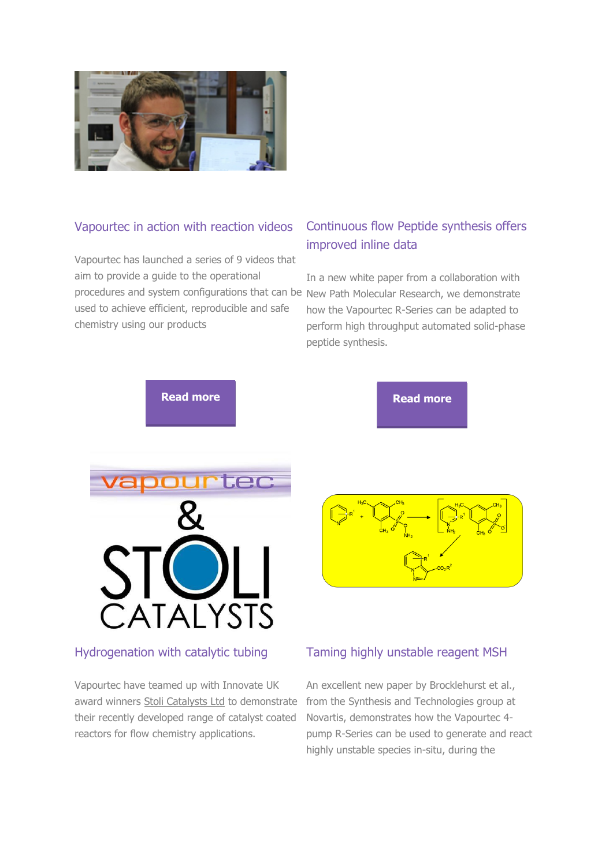#### Vapourtec in action with reaction videos

Vapourtec has launched a series of 9 videos that aim to provide a guide to the operational procedures and system configurations that can be New Path Molecular Research, we demonstrate used to achieve efficient, reproducible and safe chemistry using our products

# Continuous flow Peptide synthesis offers improved inline data

In a new white paper from a collaboration with how the Vapourtec R-Series can be adapted to perform high throughput automated solid-phase peptide synthesis.

**[Read more](http://vapourtec.cmail19.com/t/r-i-jroyutl-l-u/) Read more Read more** 



## Hydrogenation with catalytic tubing

Vapourtec have teamed up with Innovate UK award winners [Stoli Catalysts Ltd](http://vapourtec.cmail19.com/t/r-i-jroyutl-l-b/) to demonstrate their recently developed range of catalyst coated reactors for flow chemistry applications.

## Taming highly unstable reagent MSH

An excellent new paper by Brocklehurst et al., from the Synthesis and Technologies group at Novartis, demonstrates how the Vapourtec 4 pump R-Series can be used to generate and react highly unstable species in-situ, during the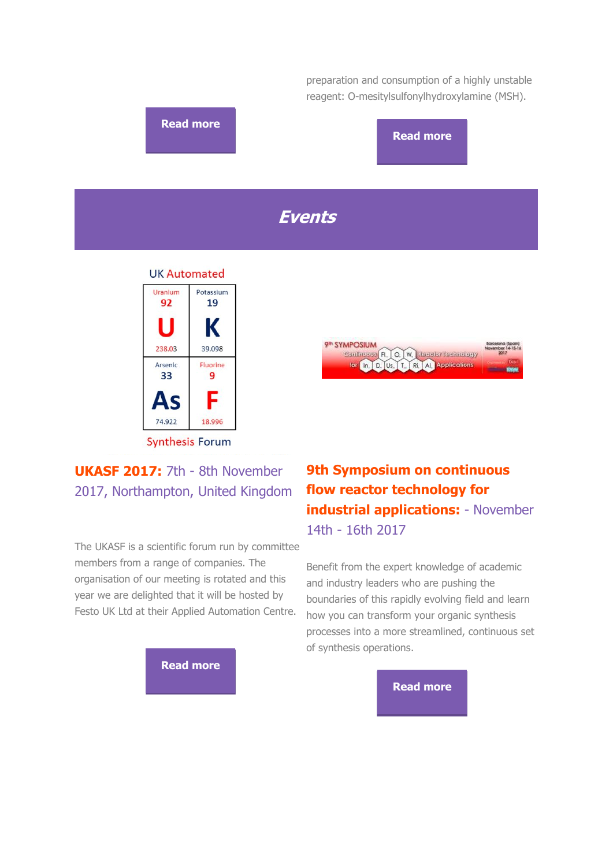

# 2017, Northampton, United Kingdom

The UKASF is a scientific forum run by committee members from a range of companies. The organisation of our meeting is rotated and this year we are delighted that it will be hosted by Festo UK Ltd at their Applied Automation Centre.



# **flow reactor technology for industrial applications:** - November 14th - 16th 2017

Benefit from the expert knowledge of academic and industry leaders who are pushing the boundaries of this rapidly evolving field and learn how you can transform your organic synthesis processes into a more streamlined, continuous set of synthesis operations.

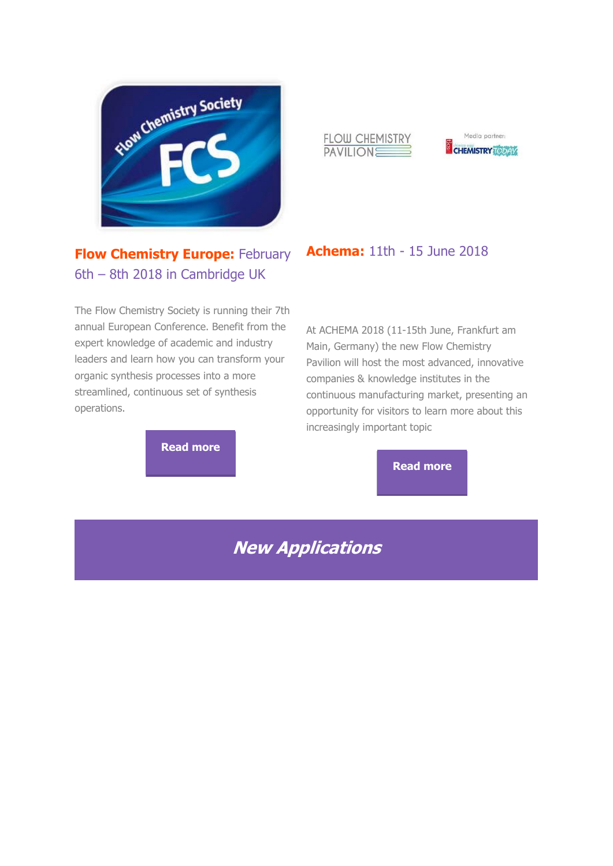

# **Flow Chemistry Europe: February** 6th – 8th 2018 in Cambridge UK

The Flow Chemistry Society is running their 7th annual European Conference. Benefit from the expert knowledge of academic and industry leaders and learn how you can transform your organic synthesis processes into a more streamlined, continuous set of synthesis operations.

**[Read more](http://vapourtec.cmail19.com/t/r-i-jroyutl-l-z/)**

#### FLOW CHEMISTRY PAVILIONE



# **Achema:** 11th - 15 June 2018

At ACHEMA 2018 (11-15th June, Frankfurt am Main, Germany) the new Flow Chemistry Pavilion will host the most advanced, innovative companies & knowledge institutes in the continuous manufacturing market, presenting an opportunity for visitors to learn more about this increasingly important topic

**[Read more](http://vapourtec.cmail19.com/t/r-i-jroyutl-l-e/)**

**New Applications**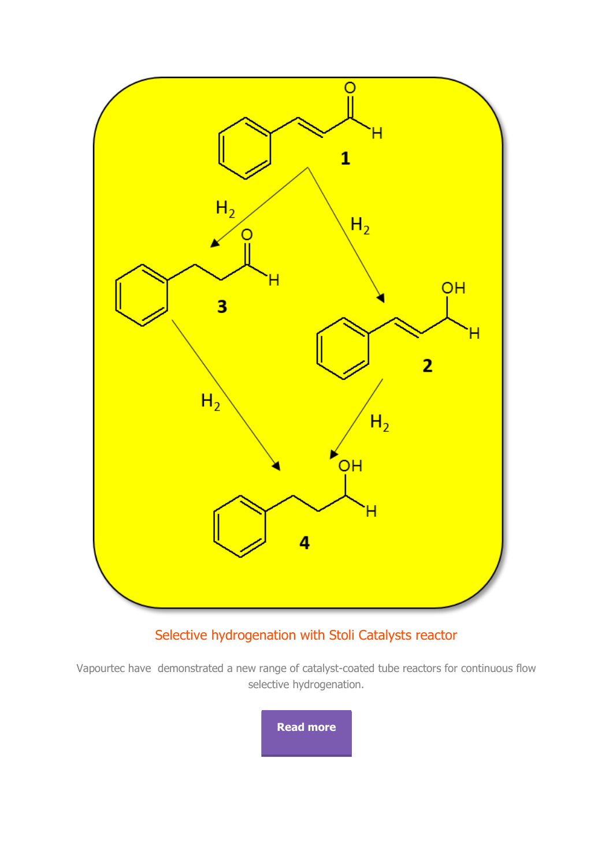

# Selective hydrogenation with Stoli Catalysts reactor

Vapourtec have demonstrated a new range of catalyst-coated tube reactors for continuous flow selective hydrogenation.

**[Read more](http://vapourtec.cmail19.com/t/r-i-jroyutl-l-g/)**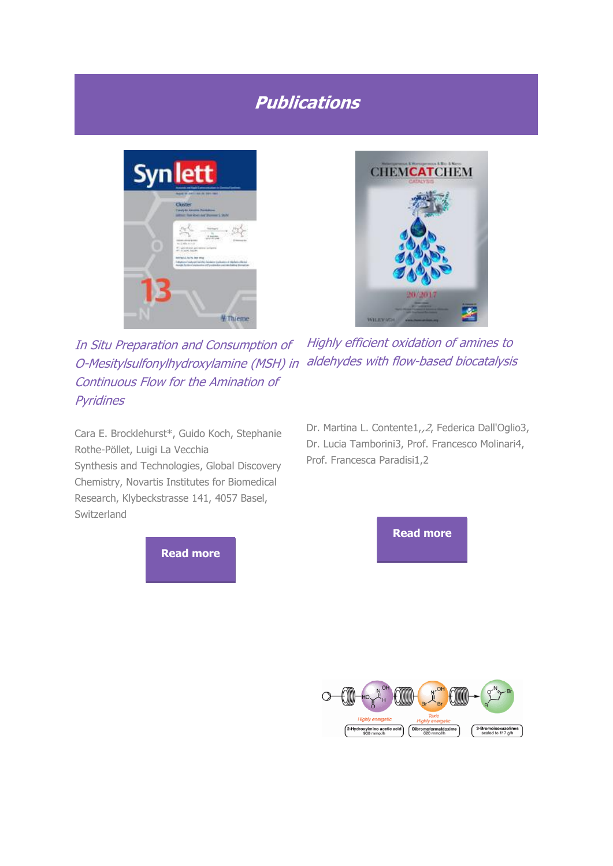# **Publications**



In Situ Preparation and Consumption of O-Mesitylsulfonylhydroxylamine (MSH) in aldehydes with flow-based biocatalysis Continuous Flow for the Amination of **Pyridines** 



Highly efficient oxidation of amines to

Cara E. Brocklehurst\*, Guido Koch, Stephanie Rothe-Pöllet, Luigi La Vecchia

Synthesis and Technologies, Global Discovery Chemistry, Novartis Institutes for Biomedical Research, Klybeckstrasse 141, 4057 Basel, Switzerland

Dr. Martina L. Contente1,,2, Federica Dall'Oglio3, Dr. Lucia Tamborini3, Prof. Francesco Molinari4, Prof. Francesca Paradisi1,2

**[Read more](http://vapourtec.cmail19.com/t/r-i-jroyutl-l-yd/)**



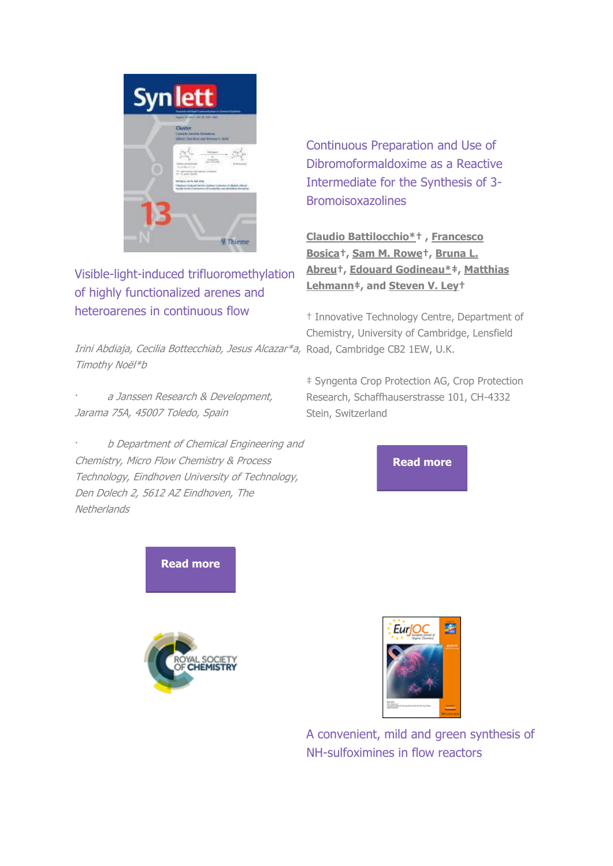

Visible-light-induced trifluoromethylation of highly functionalized arenes and heteroarenes in continuous flow

Irini Abdiaja, Cecilia Bottecchiab, Jesus Alcazar\*a, Road, Cambridge CB2 1EW, U.K. Timothy Noёl\*b

a Janssen Research & Development, Jarama 75A, 45007 Toledo, Spain

· b Department of Chemical Engineering and Chemistry, Micro Flow Chemistry & Process Technology, Eindhoven University of Technology, Den Dolech 2, 5612 AZ Eindhoven, The **Netherlands** 

Continuous Preparation and Use of Dibromoformaldoxime as a Reactive Intermediate for the Synthesis of 3- Bromoisoxazolines

**[Claudio Battilocchio\\*](http://vapourtec.cmail19.com/t/r-i-jroyutl-l-jy/)† , [Francesco](http://vapourtec.cmail19.com/t/r-i-jroyutl-l-jt/)  [Bosica](http://vapourtec.cmail19.com/t/r-i-jroyutl-l-jt/)†, [Sam M. Rowe](http://vapourtec.cmail19.com/t/r-i-jroyutl-l-ji/)†, [Bruna L.](http://vapourtec.cmail19.com/t/r-i-jroyutl-l-jd/)  [Abreu](http://vapourtec.cmail19.com/t/r-i-jroyutl-l-jd/)†, [Edouard Godineau\\*](http://vapourtec.cmail19.com/t/r-i-jroyutl-l-jh/)‡, [Matthias](http://vapourtec.cmail19.com/t/r-i-jroyutl-l-ju/)  [Lehmann](http://vapourtec.cmail19.com/t/r-i-jroyutl-l-ju/)‡, and [Steven V. Ley](http://vapourtec.cmail19.com/t/r-i-jroyutl-l-tl/)†**

† Innovative Technology Centre, Department of Chemistry, University of Cambridge, Lensfield

‡ Syngenta Crop Protection AG, Crop Protection Research, Schaffhauserstrasse 101, CH-4332 Stein, Switzerland

**[Read more](http://vapourtec.cmail19.com/t/r-i-jroyutl-l-tr/)**

**[Read more](http://vapourtec.cmail19.com/t/r-i-jroyutl-l-jl/)**





A convenient, mild and green synthesis of NH-sulfoximines in flow reactors